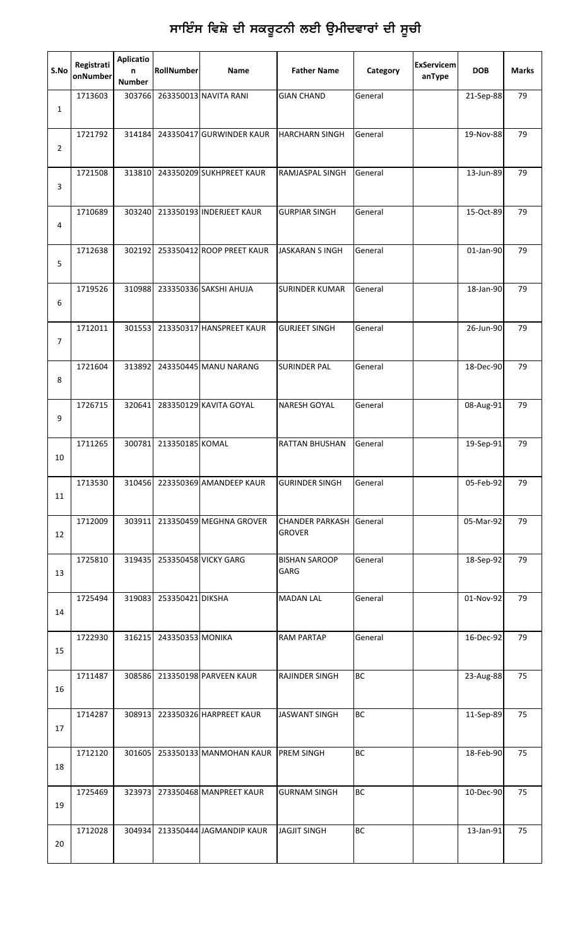| S.No           | Registrati<br>onNumber | <b>Aplicatio</b><br>n<br><b>Number</b> | RollNumber       | Name                      | <b>Father Name</b>                              | Category  | <b>ExServicem</b><br>anType | <b>DOB</b> | <b>Marks</b> |
|----------------|------------------------|----------------------------------------|------------------|---------------------------|-------------------------------------------------|-----------|-----------------------------|------------|--------------|
| $\mathbf{1}$   | 1713603                | 303766                                 |                  | 263350013 NAVITA RANI     | <b>GIAN CHAND</b>                               | General   |                             | 21-Sep-88  | 79           |
| $\overline{2}$ | 1721792                | 314184                                 |                  | 243350417 GURWINDER KAUR  | <b>HARCHARN SINGH</b>                           | General   |                             | 19-Nov-88  | 79           |
| 3              | 1721508                | 313810                                 |                  | 243350209 SUKHPREET KAUR  | RAMJASPAL SINGH                                 | General   |                             | 13-Jun-89  | 79           |
| 4              | 1710689                | 303240                                 |                  | 213350193 INDERJEET KAUR  | <b>GURPIAR SINGH</b>                            | General   |                             | 15-Oct-89  | 79           |
| 5              | 1712638                | 302192                                 |                  | 253350412 ROOP PREET KAUR | <b>JASKARAN S INGH</b>                          | General   |                             | 01-Jan-90  | 79           |
| 6              | 1719526                | 310988                                 |                  | 233350336 SAKSHI AHUJA    | <b>SURINDER KUMAR</b>                           | General   |                             | 18-Jan-90  | 79           |
| $\overline{7}$ | 1712011                | 301553                                 |                  | 213350317 HANSPREET KAUR  | <b>GURJEET SINGH</b>                            | General   |                             | 26-Jun-90  | 79           |
| 8              | 1721604                | 313892                                 |                  | 243350445 MANU NARANG     | <b>SURINDER PAL</b>                             | General   |                             | 18-Dec-90  | 79           |
| 9              | 1726715                | 320641                                 |                  | 283350129 KAVITA GOYAL    | <b>NARESH GOYAL</b>                             | General   |                             | 08-Aug-91  | 79           |
| 10             | 1711265                | 300781                                 | 213350185 KOMAL  |                           | <b>RATTAN BHUSHAN</b>                           | General   |                             | 19-Sep-91  | 79           |
| 11             | 1713530                | 310456                                 |                  | 223350369 AMANDEEP KAUR   | <b>GURINDER SINGH</b>                           | General   |                             | 05-Feb-92  | 79           |
| 12             | 1712009                | 303911                                 |                  | 213350459 MEGHNA GROVER   | <b>CHANDER PARKASH General</b><br><b>GROVER</b> |           |                             | 05-Mar-92  | 79           |
| 13             | 1725810                | 319435                                 |                  | 253350458 VICKY GARG      | <b>BISHAN SAROOP</b><br>GARG                    | General   |                             | 18-Sep-92  | 79           |
| 14             | 1725494                | 319083                                 | 253350421 DIKSHA |                           | <b>MADAN LAL</b>                                | General   |                             | 01-Nov-92  | 79           |
| 15             | 1722930                | 316215                                 | 243350353 MONIKA |                           | <b>RAM PARTAP</b>                               | General   |                             | 16-Dec-92  | 79           |
| 16             | 1711487                | 308586                                 |                  | 213350198 PARVEEN KAUR    | RAJINDER SINGH                                  | ВC        |                             | 23-Aug-88  | 75           |
| 17             | 1714287                | 308913                                 |                  | 223350326 HARPREET KAUR   | <b>JASWANT SINGH</b>                            | BC        |                             | 11-Sep-89  | 75           |
| 18             | 1712120                | 301605                                 |                  | 253350133 MANMOHAN KAUR   | <b>PREM SINGH</b>                               | BC        |                             | 18-Feb-90  | 75           |
| 19             | 1725469                | 323973                                 |                  | 273350468 MANPREET KAUR   | <b>GURNAM SINGH</b>                             | <b>BC</b> |                             | 10-Dec-90  | 75           |
| 20             | 1712028                | 304934                                 |                  | 213350444 JAGMANDIP KAUR  | <b>JAGJIT SINGH</b>                             | BC        |                             | 13-Jan-91  | 75           |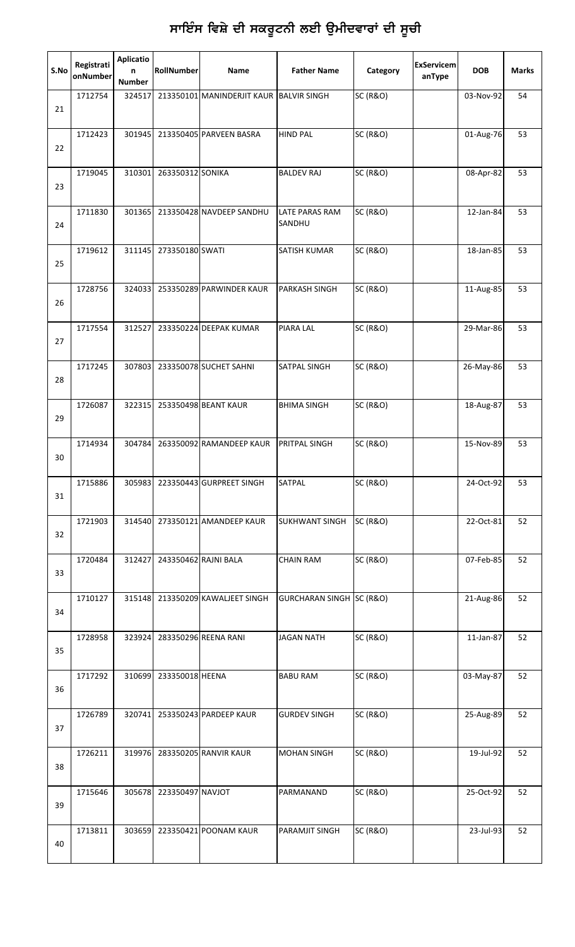| S.No | Registrati<br>onNumber | <b>Aplicatio</b><br>n<br><b>Number</b> | RollNumber       | Name                                    | <b>Father Name</b>              | Category            | <b>ExServicem</b><br>anType | <b>DOB</b> | <b>Marks</b> |
|------|------------------------|----------------------------------------|------------------|-----------------------------------------|---------------------------------|---------------------|-----------------------------|------------|--------------|
| 21   | 1712754                | 324517                                 |                  | 213350101 MANINDERJIT KAUR BALVIR SINGH |                                 | <b>SC (R&amp;O)</b> |                             | 03-Nov-92  | 54           |
| 22   | 1712423                | 301945                                 |                  | 213350405 PARVEEN BASRA                 | <b>HIND PAL</b>                 | <b>SC (R&amp;O)</b> |                             | 01-Aug-76  | 53           |
| 23   | 1719045                | 310301                                 | 263350312 SONIKA |                                         | <b>BALDEV RAJ</b>               | <b>SC (R&amp;O)</b> |                             | 08-Apr-82  | 53           |
| 24   | 1711830                | 301365                                 |                  | 213350428 NAVDEEP SANDHU                | <b>LATE PARAS RAM</b><br>SANDHU | <b>SC (R&amp;O)</b> |                             | 12-Jan-84  | 53           |
| 25   | 1719612                | 311145                                 | 273350180 SWATI  |                                         | <b>SATISH KUMAR</b>             | <b>SC (R&amp;O)</b> |                             | 18-Jan-85  | 53           |
| 26   | 1728756                | 324033                                 |                  | 253350289 PARWINDER KAUR                | <b>PARKASH SINGH</b>            | <b>SC (R&amp;O)</b> |                             | 11-Aug-85  | 53           |
| 27   | 1717554                | 312527                                 |                  | 233350224 DEEPAK KUMAR                  | PIARA LAL                       | <b>SC (R&amp;O)</b> |                             | 29-Mar-86  | 53           |
| 28   | 1717245                | 307803                                 |                  | 233350078 SUCHET SAHNI                  | SATPAL SINGH                    | <b>SC (R&amp;O)</b> |                             | 26-May-86  | 53           |
| 29   | 1726087                | 322315                                 |                  | 253350498 BEANT KAUR                    | <b>BHIMA SINGH</b>              | <b>SC (R&amp;O)</b> |                             | 18-Aug-87  | 53           |
| 30   | 1714934                | 304784                                 |                  | 263350092 RAMANDEEP KAUR                | PRITPAL SINGH                   | <b>SC (R&amp;O)</b> |                             | 15-Nov-89  | 53           |
| 31   | 1715886                | 305983                                 |                  | 223350443 GURPREET SINGH                | SATPAL                          | <b>SC (R&amp;O)</b> |                             | 24-Oct-92  | 53           |
| 32   | 1721903                | 314540                                 |                  | 273350121 AMANDEEP KAUR                 | <b>SUKHWANT SINGH</b>           | <b>SC (R&amp;O)</b> |                             | 22-Oct-81  | 52           |
| 33   | 1720484                | 312427                                 |                  | 243350462 RAJNI BALA                    | <b>CHAIN RAM</b>                | <b>SC (R&amp;O)</b> |                             | 07-Feb-85  | 52           |
| 34   | 1710127                | 315148                                 |                  | 213350209 KAWALJEET SINGH               | GURCHARAN SINGH SC (R&O)        |                     |                             | 21-Aug-86  | 52           |
| 35   | 1728958                | 323924                                 |                  | 283350296 REENA RANI                    | <b>JAGAN NATH</b>               | <b>SC (R&amp;O)</b> |                             | 11-Jan-87  | 52           |
| 36   | 1717292                | 310699                                 | 233350018 HEENA  |                                         | <b>BABU RAM</b>                 | <b>SC (R&amp;O)</b> |                             | 03-May-87  | 52           |
| 37   | 1726789                | 320741                                 |                  | 253350243 PARDEEP KAUR                  | <b>GURDEV SINGH</b>             | <b>SC (R&amp;O)</b> |                             | 25-Aug-89  | 52           |
| 38   | 1726211                | 319976                                 |                  | 283350205 RANVIR KAUR                   | <b>MOHAN SINGH</b>              | <b>SC (R&amp;O)</b> |                             | 19-Jul-92  | 52           |
| 39   | 1715646                | 305678                                 | 223350497 NAVJOT |                                         | PARMANAND                       | <b>SC (R&amp;O)</b> |                             | 25-Oct-92  | 52           |
| 40   | 1713811                | 303659                                 |                  | 223350421 POONAM KAUR                   | PARAMJIT SINGH                  | <b>SC (R&amp;O)</b> |                             | 23-Jul-93  | 52           |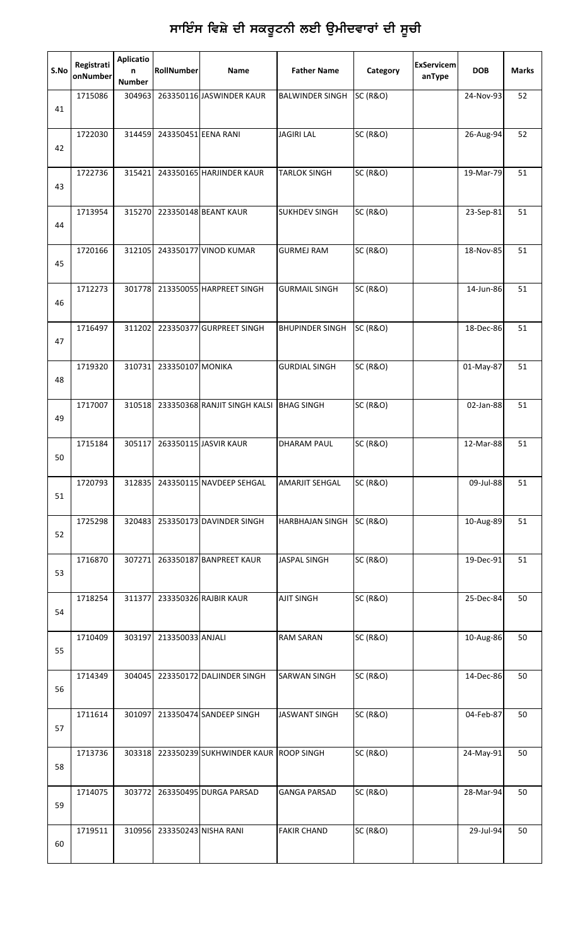| S.No | Registrati<br>onNumber | <b>Aplicatio</b><br>n<br><b>Number</b> | RollNumber                  | Name                                 | <b>Father Name</b>     | Category            | <b>ExServicem</b><br>anType | <b>DOB</b>  | <b>Marks</b> |
|------|------------------------|----------------------------------------|-----------------------------|--------------------------------------|------------------------|---------------------|-----------------------------|-------------|--------------|
| 41   | 1715086                | 304963                                 |                             | 263350116 JASWINDER KAUR             | <b>BALWINDER SINGH</b> | <b>SC (R&amp;O)</b> |                             | 24-Nov-93   | 52           |
| 42   | 1722030                | 314459                                 | 243350451 EENA RANI         |                                      | <b>JAGIRI LAL</b>      | <b>SC (R&amp;O)</b> |                             | 26-Aug-94   | 52           |
| 43   | 1722736                | 315421                                 |                             | 243350165 HARJINDER KAUR             | <b>TARLOK SINGH</b>    | <b>SC (R&amp;O)</b> |                             | 19-Mar-79   | 51           |
| 44   | 1713954                | 315270                                 |                             | 223350148 BEANT KAUR                 | <b>SUKHDEV SINGH</b>   | <b>SC (R&amp;O)</b> |                             | 23-Sep-81   | 51           |
| 45   | 1720166                | 312105                                 |                             | 243350177 VINOD KUMAR                | <b>GURMEJ RAM</b>      | <b>SC (R&amp;O)</b> |                             | 18-Nov-85   | 51           |
| 46   | 1712273                | 301778                                 |                             | 213350055 HARPREET SINGH             | <b>GURMAIL SINGH</b>   | <b>SC (R&amp;O)</b> |                             | 14-Jun-86   | 51           |
| 47   | 1716497                | 311202                                 |                             | 223350377 GURPREET SINGH             | <b>BHUPINDER SINGH</b> | <b>SC (R&amp;O)</b> |                             | 18-Dec-86   | 51           |
| 48   | 1719320                | 310731                                 | 233350107 MONIKA            |                                      | <b>GURDIAL SINGH</b>   | <b>SC (R&amp;O)</b> |                             | 01-May-87   | 51           |
| 49   | 1717007                | 310518                                 |                             | 233350368 RANJIT SINGH KALSI         | <b>BHAG SINGH</b>      | <b>SC (R&amp;O)</b> |                             | 02-Jan-88   | 51           |
| 50   | 1715184                | 305117                                 |                             | 263350115 JASVIR KAUR                | <b>DHARAM PAUL</b>     | <b>SC (R&amp;O)</b> |                             | 12-Mar-88   | 51           |
| 51   | 1720793                | 312835                                 |                             | 243350115 NAVDEEP SEHGAL             | <b>AMARJIT SEHGAL</b>  | <b>SC (R&amp;O)</b> |                             | 09-Jul-88   | 51           |
| 52   | 1725298                | 320483                                 |                             | 253350173 DAVINDER SINGH             | HARBHAJAN SINGH        | <b>SC (R&amp;O)</b> |                             | 10-Aug-89   | 51           |
| 53   | 1716870                | 307271                                 |                             | 263350187 BANPREET KAUR              | <b>JASPAL SINGH</b>    | <b>SC (R&amp;O)</b> |                             | 19-Dec-91   | 51           |
| 54   | 1718254                | 311377                                 |                             | 233350326 RAJBIR KAUR                | <b>AJIT SINGH</b>      | <b>SC (R&amp;O)</b> |                             | 25-Dec-84   | 50           |
| 55   | 1710409                | 303197                                 | 213350033 ANJALI            |                                      | <b>RAM SARAN</b>       | <b>SC (R&amp;O)</b> |                             | $10-Aug-86$ | 50           |
| 56   | 1714349                | 304045                                 |                             | 223350172 DALJINDER SINGH            | <b>SARWAN SINGH</b>    | <b>SC (R&amp;O)</b> |                             | 14-Dec-86   | 50           |
| 57   | 1711614                | 301097                                 |                             | 213350474 SANDEEP SINGH              | <b>JASWANT SINGH</b>   | <b>SC (R&amp;O)</b> |                             | 04-Feb-87   | 50           |
| 58   | 1713736                | 303318                                 |                             | 223350239 SUKHWINDER KAUR ROOP SINGH |                        | <b>SC (R&amp;O)</b> |                             | 24-May-91   | 50           |
| 59   | 1714075                | 303772                                 |                             | 263350495 DURGA PARSAD               | <b>GANGA PARSAD</b>    | <b>SC (R&amp;O)</b> |                             | 28-Mar-94   | 50           |
| 60   | 1719511                |                                        | 310956 233350243 NISHA RANI |                                      | <b>FAKIR CHAND</b>     | <b>SC (R&amp;O)</b> |                             | 29-Jul-94   | 50           |